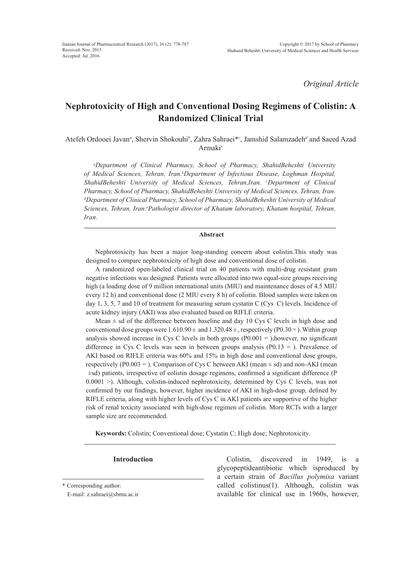*Original Article*

# **Nephrotoxicity of High and Conventional Dosing Regimens of Colistin: A Randomized Clinical Trial**

Atefeh Ordooei Javan<sup>a</sup>, Shervin Shokouhi<sup>b</sup>, Zahra Sahraei<sup>\*</sup><sup>c</sup>, Jamshid Salamzadeh<sup>d</sup> and Saeed Azad Armaki*<sup>e</sup>*

*a Department of Clinical Pharmacy, School of Pharmacy, ShahidBeheshti University of Medical Sciences, Tehran, Iran.b Department of Infectious Disease, Loghman Hospital, ShahidBeheshti University of Medical Sciences, Tehran,Iran. c Department of Clinical Pharmacy, School of Pharmacy, ShahidBeheshti University of Medical Sciences, Tehran, Iran. d Department of Clinical Pharmacy, School of Pharmacy, ShahidBeheshti University of Medical*  Sciences, Tehran, Iran.<sup>e</sup> Pathologist director of Khatam laboratory, Khatam hospital, Tehran, *Iran.*

# **Abstract**

Nephrotoxicity has been a major long-standing concern about colistin.This study was designed to compare nephrotoxicity of high dose and conventional dose of colistin.

A randomized open-labeled clinical trial on 40 patients with multi-drug resistant gram negative infections was designed. Patients were allocated into two equal-size groups receiving high (a loading dose of 9 million international units (MIU) and maintenance doses of 4.5 MIU every 12 h) and conventional dose (2 MIU every 8 h) of colistin. Blood samples were taken on day 1, 3, 5, 7 and 10 of treatment for measuring serum cystatin C (Cys C) levels. Incidence of acute kidney injury (AKI) was also evaluated based on RIFLE criteria.

Mean  $\pm$  sd of the difference between baseline and day 10 Cys C levels in high dose and conventional dose groups were  $1.610.90 \pm$  and  $1.320.48 \pm$ , respectively (P0.30 = ). Within group analysis showed increase in Cys C levels in both groups  $(P0.001 =)$ , however, no significant difference in Cys C levels was seen in between groups analysis  $(P0.13 =)$ . Prevalence of AKI based on RIFLE criteria was 60% and 15% in high dose and conventional dose groups, respectively (P0.003 = ). Comparison of Cys C between AKI (mean  $\pm$  sd) and non-AKI (mean ±sd) patients, irrespective of colistin dosage regimens, confirmed a significant difference (P 0.0001 >). Although, colistin-induced nephrotoxicity, determined by Cys C levels, was not confirmed by our findings, however, higher incidence of AKI in high-dose group, defined by RIFLE criteria, along with higher levels of Cys C in AKI patients are supportive of the higher risk of renal toxicity associated with high-dose regimen of colistin. More RCTs with a larger sample size are recommended.

**Keywords:** Colistin; Conventional dose; Cystatin C; High dose; Nephrotoxicity.

**Introduction** Colistin, discovered in 1949, is a glycopeptideantibiotic which isproduced by a certain strain of *Bacillus polymixa* variant called colistinus(1). Although, colistin was available for clinical use in 1960s, however,

<sup>\*</sup> Corresponding author:

E-mail: z.sahraei@sbmu.ac.ir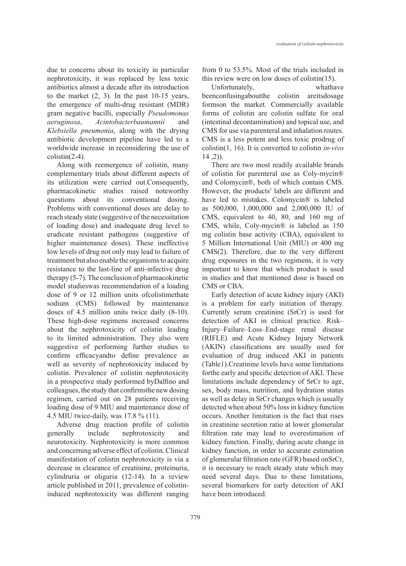due to concerns about its toxicity in particular nephrotoxicity, it was replaced by less toxic antibiotics almost a decade after its introduction to the market  $(2, 3)$ . In the past 10-15 years, the emergence of multi-drug resistant (MDR) gram negative bacilli, especially *Pseudomonas aeruginosa*, *Acintobacterbaumannii* and *Klebsiella pneumonia*, along with the drying antibiotic development pipeline have led to a worldwide increase in reconsidering the use of colistin(2-4).

Along with reemergence of colistin, many complementary trials about different aspects of its utilization were carried out.Consequently, pharmacokinetic studies raised noteworthy questions about its conventional dosing. Problems with conventional doses are delay to reach steady state (suggestive of the necessitation of loading dose) and inadequate drug level to eradicate resistant pathogens (suggestive of higher maintenance doses). These ineffective low levels of drug not only may lead to failure of treatment but also enable the organisms to acquire resistance to the last-line of anti-infective drug therapy (5-7). The conclusion of pharmacokinetic model studieswas recommendation of a loading dose of 9 or 12 million units ofcolistimethate sodium (CMS) followed by maintenance doses of 4.5 million units twice daily (8-10). These high-dose regimens increased concerns about the nephrotoxicity of colistin leading to its limited administration. They also were suggestive of performing further studies to confirm efficacyandto define prevalence as well as severity of nephrotoxicity induced by colistin. Prevalence of colistin nephrotoxicity in a prospective study performed byDalfino and colleagues, the study that confirmsthe new dosing regimen, carried out on 28 patients receiving loading dose of 9 MIU and maintenance dose of 4.5 MIU twice-daily, was 17.8 % (11).

Adverse drug reaction profile of colistin generally include nephrotoxicity and neurotoxicity. Nephrotoxicity is more common and concerning adverse effect of colistin. Clinical manifestation of colistin nephrotoxicity is via a decrease in clearance of creatinine, proteinuria, cylindruria or oliguria (12-14). In a review article published in 2011, prevalence of colistininduced nephrotoxicity was different ranging from 0 to 53.5%. Most of the trials included in this review were on low doses of colistin(15).

Unfortunately, whathave beenconfusingaboutthe colistin areitsdosage formson the market. Commercially available forms of colistin are colistin sulfate for oral (intestinal decontamination) and topical use, and CMS for use via parenteral and inhalation routes. CMS is a less potent and less toxic prodrug of colistin(1, 16). It is converted to colistin *in-vivo*   $14, 2)$ ).

There are two most readily available brands of colistin for parenteral use as Coly-mycin® and Colomycin®, both of which contain CMS. However, the productsʹ labels are different and have led to mistakes. Colomycin® is labeled as 500,000, 1,000,000 and 2,000,000 IU of CMS, equivalent to 40, 80, and 160 mg of CMS, while, Coly-mycin® is labeled as 150 mg colistin base activity (CBA), equivalent to 5 Million International Unit (MIU) or 400 mg CMS(2). Therefore, due to the very different drug exposures in the two regimens, it is very important to know that which product is used in studies and that mentioned dose is based on CMS or CBA.

Early detection of acute kidney injury (AKI) is a problem for early initiation of therapy. Currently serum creatinine (SrCr) is used for detection of AKI in clinical practice. Risk– Injury–Failure–Loss–End-stage renal disease (RIFLE) and Acute Kidney Injury Network (AKIN) classifications are usually used for evaluation of drug induced AKI in patients (Table1).Creatinine levels have some limitations forthe early and specific detection of AKI. These limitations include dependency of SrCr to age, sex, body mass, nutrition, and hydration status as well as delay in SrCr changes which is usually detected when about 50% loss in kidney function occurs. Another limitation is the fact that rises in creatinine secretion ratio at lower glomerular filtration rate may lead to overestimation of kidney function. Finally, during acute change in kidney function, in order to accurate estimation of glomerular filtration rate (GFR) based onSrCr, it is necessary to reach steady state which may need several days. Due to these limitations, several biomarkers for early detection of AKI have been introduced.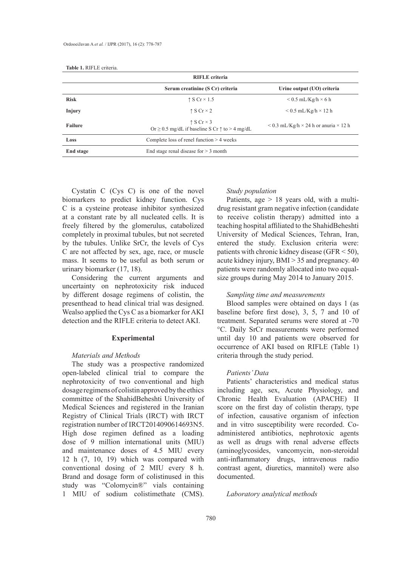|                | <b>RIFLE</b> criteria                                                                        |                                                          |
|----------------|----------------------------------------------------------------------------------------------|----------------------------------------------------------|
|                | Serum creatinine (S Cr) criteria                                                             | Urine output (UO) criteria                               |
| <b>Risk</b>    | $\uparrow$ S Cr $\times$ 1.5                                                                 | $< 0.5$ mL/Kg/h $\times$ 6 h                             |
| Injury         | $\uparrow$ S Cr $\times$ 2                                                                   | $\leq$ 0.5 mL/Kg/h $\times$ 12 h                         |
| <b>Failure</b> | $\uparrow$ S Cr $\times$ 3<br>Or $\geq$ 0.5 mg/dL if baseline S Cr $\uparrow$ to $>$ 4 mg/dL | $\leq$ 0.3 mL/Kg/h $\times$ 24 h or anuria $\times$ 12 h |
| Loss           | Complete loss of renel function $> 4$ weeks                                                  |                                                          |
| End stage      | End stage renal disease for $>$ 3 month                                                      |                                                          |

**Table 1.** RIFLE criteria.

Cystatin C (Cys C) is one of the novel biomarkers to predict kidney function. Cys C is a cysteine protease inhibitor synthesized at a constant rate by all nucleated cells. It is freely filtered by the glomerulus, catabolized completely in proximal tubules, but not secreted by the tubules. Unlike SrCr, the levels of Cys C are not affected by sex, age, race, or muscle mass. It seems to be useful as both serum or urinary biomarker (17, 18).

Considering the current arguments and uncertainty on nephrotoxicity risk induced by different dosage regimens of colistin, the presenthead to head clinical trial was designed. Wealso applied the Cys C as a biomarker for AKI detection and the RIFLE criteria to detect AKI.

# **Experimental**

# *Materials and Methods*

The study was a prospective randomized open-labeled clinical trial to compare the nephrotoxicity of two conventional and high dosage regimens of colistin approved by the ethics committee of the ShahidBeheshti University of Medical Sciences and registered in the Iranian Registry of Clinical Trials (IRCT) with IRCT registration number of IRCT2014090614693N5. High dose regimen defined as a loading dose of 9 million international units (MIU) and maintenance doses of 4.5 MIU every 12 h (7, 10, 19) which was compared with conventional dosing of 2 MIU every 8 h. Brand and dosage form of colistinused in this study was "Colomycin®" vials containing 1 MIU of sodium colistimethate (CMS).

# *Study population*

Patients, age > 18 years old, with a multidrug resistant gram negative infection (candidate to receive colistin therapy) admitted into a teaching hospital affiliated to the ShahidBeheshti University of Medical Sciences, Tehran, Iran, entered the study. Exclusion criteria were: patients with chronic kidney disease (GFR < 50), acute kidney injury, BMI > 35 and pregnancy. 40 patients were randomly allocated into two equalsize groups during May 2014 to January 2015.

# *Sampling time and measurements*

Blood samples were obtained on days 1 (as baseline before first dose), 3, 5, 7 and 10 of treatment. Separated serums were stored at -70 °C. Daily SrCr measurements were performed until day 10 and patients were observed for occurrence of AKI based on RIFLE (Table 1) criteria through the study period.

# *Patients' Data*

Patients' characteristics and medical status including age, sex, Acute Physiology, and Chronic Health Evaluation (APACHE) II score on the first day of colistin therapy, type of infection, causative organism of infection and in vitro susceptibility were recorded. Coadministered antibiotics, nephrotoxic agents as well as drugs with renal adverse effects (aminoglycosides, vancomycin, non-steroidal anti-inflammatory drugs, intravenous radio contrast agent, diuretics, mannitol) were also documented.

*Laboratory analytical methods*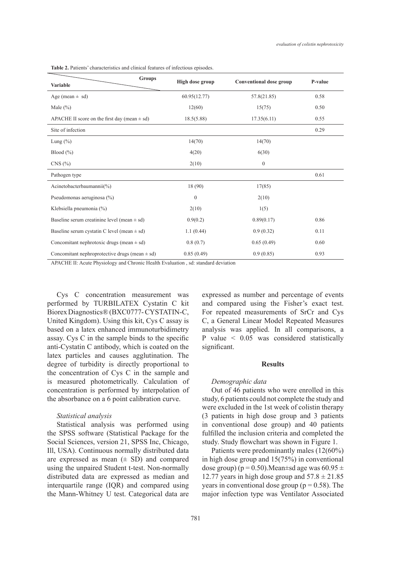**Groups Variable Variable Conventional dose group P-value Variable P-value P-value** Age (mean  $\pm$  sd) 60.95(12.77) 57.8(21.85) 658 Male (%)  $12(60)$  15(75) 0.50 APACHE II score on the first day (mean  $\pm$  sd) 18.5(5.88) 17.35(6.11) 0.55 Site of infection 0.29 Lung (%)  $14(70)$  14(70) Blood (%)  $4(20)$  6(30)  $\text{CNS } (\%)$  2(10) 0 Pathogen type 0.61 Acinetobacterbaumannii(%) 18 (90) 17(85) Pseudomonas aeruginosa (%) 0 2(10) Klebsiella pneumonia  $\binom{9}{0}$  2(10) 1(5) Baseline serum creatinine level (mean  $\pm$  sd) 0.9(0.2) 0.89(0.17) 0.86 Baseline serum cystatin C level (mean  $\pm$  sd)  $1.1 \ (0.44)$  0.9 (0.32) 0.11 Concomitant nephrotoxic drugs (mean  $\pm$  sd) 0.8 (0.7) 0.65 (0.49) 0.60 Concomitant nephroprotective drugs (mean  $\pm$  sd) 0.85 (0.49) 0.93 (0.85) 0.93

**Table 2.** Patients' characteristics and clinical features of infectious episodes.

APACHE II: Acute Physiology and Chronic Health Evaluation , sd: standard deviation

Cys C concentration measurement was performed by TURBILATEX Cystatin C kit Biorex Diagnostics® (BXC0777- CYSTATIN-C, United Kingdom). Using this kit, Cys C assay is based on a latex enhanced immunoturbidimetry assay. Cys C in the sample binds to the specific anti-Cystatin C antibody, which is coated on the latex particles and causes agglutination. The degree of turbidity is directly proportional to the concentration of Cys C in the sample and is measured photometrically. Calculation of concentration is performed by interpolation of the absorbance on a 6 point calibration curve.

# *Statistical analysis*

Statistical analysis was performed using the SPSS software (Statistical Package for the Social Sciences, version 21, SPSS Inc, Chicago, Ill, USA). Continuous normally distributed data are expressed as mean  $(± SD)$  and compared using the unpaired Student t-test. Non-normally distributed data are expressed as median and interquartile range (IQR) and compared using the Mann-Whitney U test. Categorical data are expressed as number and percentage of events and compared using the Fisher's exact test. For repeated measurements of SrCr and Cys C, a General Linear Model Repeated Measures analysis was applied. In all comparisons, a P value < 0.05 was considered statistically significant.

#### **Results**

### *Demographic data*

Out of 46 patients who were enrolled in this study, 6 patients could not complete the study and were excluded in the 1st week of colistin therapy (3 patients in high dose group and 3 patients in conventional dose group) and 40 patients fulfilled the inclusion criteria and completed the study. Study flowchart was shown in Figure 1.

Patients were predominantly males (12(60%) in high dose group and 15(75%) in conventional dose group) ( $p = 0.50$ ).Mean $\pm$ sd age was 60.95  $\pm$ 12.77 years in high dose group and  $57.8 \pm 21.85$ years in conventional dose group ( $p = 0.58$ ). The major infection type was Ventilator Associated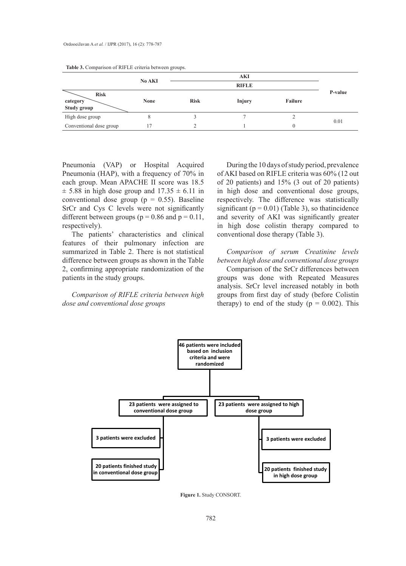|                                        | No AKI      |             |              |         |         |
|----------------------------------------|-------------|-------------|--------------|---------|---------|
|                                        |             |             | <b>RIFLE</b> |         |         |
| <b>Risk</b><br>category<br>Study group | <b>None</b> | <b>Risk</b> | Injury       | Failure | P-value |
| High dose group                        | ð           |             |              | ∸       | 0.01    |
| Conventional dose group                | 7           | ↑           |              |         |         |

**Table 3.** Comparison of RIFLE criteria between groups.

Pneumonia (VAP) or Hospital Acquired Pneumonia (HAP), with a frequency of 70% in each group. Mean APACHE II score was 18.5  $\pm$  5.88 in high dose group and 17.35  $\pm$  6.11 in conventional dose group ( $p = 0.55$ ). Baseline SrCr and Cys C levels were not significantly different between groups ( $p = 0.86$  and  $p = 0.11$ , respectively).

The patients' characteristics and clinical features of their pulmonary infection are summarized in Table 2. There is not statistical difference between groups as shown in the Table 2, confirming appropriate randomization of the patients in the study groups.

*Comparison of RIFLE criteria between high dose and conventional dose groups*

During the 10 days of study period, prevalence of AKI based on RIFLE criteria was 60% (12 out of 20 patients) and 15% (3 out of 20 patients) in high dose and conventional dose groups, respectively. The difference was statistically significant ( $p = 0.01$ ) (Table 3), so thatincidence and severity of AKI was significantly greater in high dose colistin therapy compared to conventional dose therapy (Table 3).

*Comparison of serum Creatinine levels between high dose and conventional dose groups*

Comparison of the SrCr differences between groups was done with Repeated Measures analysis. SrCr level increased notably in both groups from first day of study (before Colistin therapy) to end of the study ( $p = 0.002$ ). This



**Figure 1.** Study CONSORT.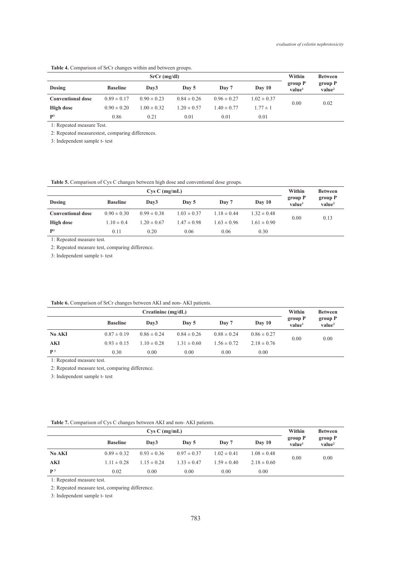| $SrCr$ (mg/dl)           |                 |                  |                 |                 |                 |                               | <b>Between</b>                |
|--------------------------|-----------------|------------------|-----------------|-----------------|-----------------|-------------------------------|-------------------------------|
| Dosing                   | <b>Baseline</b> | Dav <sub>3</sub> | Day 5           | Day 7           | Day 10          | group P<br>value <sup>1</sup> | group P<br>value <sup>2</sup> |
| <b>Conventional dose</b> | $0.89 \pm 0.17$ | $0.90 \pm 0.23$  | $0.84 \pm 0.26$ | $0.96 \pm 0.27$ | $1.02 \pm 0.37$ | 0.00                          | 0.02                          |
| High dose                | $0.90 \pm 0.20$ | $1.00 \pm 0.32$  | $1.20 \pm 0.57$ | $1.40 \pm 0.77$ | $1.77 \pm 1$    |                               |                               |
| P <sup>3</sup>           | 0.86            | 0.21             | 0.01            | 0.01            | 0.01            |                               |                               |

#### **Table 4.** Comparison of SrCr changes within and between groups.

1: Repeated measure Test.

2: Repeated measurestest, comparing differences.

3: Independent sample t- test

# **Table 5.** Comparison of Cys C changes between high dose and conventional dose groups.

| $CysC$ (mg/mL)           |                 |                  |                 |                 |                 | Within                        | <b>Between</b>                |
|--------------------------|-----------------|------------------|-----------------|-----------------|-----------------|-------------------------------|-------------------------------|
| Dosing                   | <b>Baseline</b> | Dav <sub>3</sub> | Day 5           | Day 7           | Day 10          | group P<br>value <sup>1</sup> | group P<br>value <sup>2</sup> |
| <b>Conventional dose</b> | $0.90 \pm 0.30$ | $0.99 \pm 0.38$  | $1.03 \pm 0.37$ | $1.18 \pm 0.44$ | $1.32 \pm 0.48$ | 0.00                          | 0.13                          |
| High dose                | $1.10 \pm 0.4$  | $1.20 \pm 0.67$  | $1.47 \pm 0.98$ | $1.63 \pm 0.96$ | $1.61 \pm 0.90$ |                               |                               |
| P <sup>3</sup>           | 0.11            | 0.20             | 0.06            | 0.06            | 0.30            |                               |                               |

1: Repeated measure test.

2: Repeated measure test, comparing difference.

3: Independent sample t- test

#### **Table 6.** Comparison of SrCr changes between AKI and non- AKI patients.

| Creatinine $(mg/dL)$ |                 |                  |                 |                 |                 | Within                        | <b>Between</b>                |
|----------------------|-----------------|------------------|-----------------|-----------------|-----------------|-------------------------------|-------------------------------|
|                      | <b>Baseline</b> | Dav <sub>3</sub> | Day 5           | Day 7           | Day 10          | group P<br>value <sup>1</sup> | group P<br>value <sup>2</sup> |
| <b>No AKI</b>        | $0.87 \pm 0.19$ | $0.86 \pm 0.24$  | $0.84 \pm 0.26$ | $0.88 \pm 0.24$ | $0.86 \pm 0.27$ |                               |                               |
| AKI                  | $0.93 \pm 0.15$ | $1.10 \pm 0.28$  | $1.31 \pm 0.60$ | $1.56 \pm 0.72$ | $2.18 \pm 0.76$ | 0.00                          | 0.00                          |
| P <sup>3</sup>       | 0.30            | 0.00             | 0.00            | 0.00            | 0.00            |                               |                               |

1: Repeated measure test.

2: Repeated measure test, comparing difference.

3: Independent sample t- test

|  | <b>Table 7.</b> Comparison of Cys C changes between AKI and non-AKI patients. |
|--|-------------------------------------------------------------------------------|
|  |                                                                               |

| $CysC$ (mg/mL) |                 |                  |                 |                 | Within          | <b>Between</b>                |                               |
|----------------|-----------------|------------------|-----------------|-----------------|-----------------|-------------------------------|-------------------------------|
|                | <b>Baseline</b> | Dav <sub>3</sub> | Day 5           | Day 7           | Day 10          | group P<br>value <sup>1</sup> | group P<br>value <sup>2</sup> |
| No AKI         | $0.89 \pm 0.32$ | $0.93 \pm 0.36$  | $0.97 \pm 0.37$ | $1.02 \pm 0.41$ | $1.08 \pm 0.48$ | 0.00                          | 0.00                          |
| AKI            | $1.11 \pm 0.28$ | $1.15 \pm 0.24$  | $1.33 \pm 0.47$ | $1.59 \pm 0.40$ | $2.18 \pm 0.60$ |                               |                               |
| $\mathbf{p}$ 3 | 0.02            | 0.00             | 0.00            | 0.00            | 0.00            |                               |                               |

1: Repeated measure test.

2: Repeated measure test, comparing difference.

3: Independent sample t- test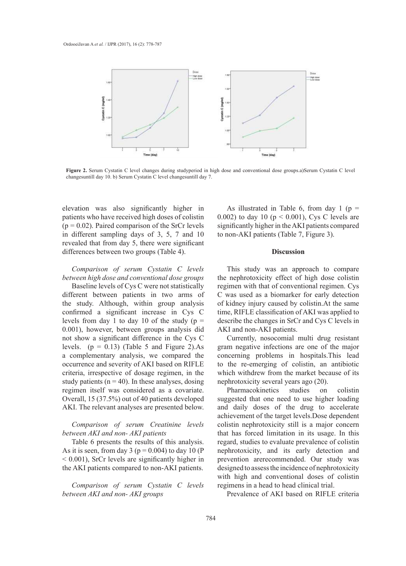

**Figure 2.** Serum Cystatin C level changes during studyperiod in high dose and conventional dose groups.a)Serum Cystatin C level<br>abangementil day 10 b) Serum Cystatin C laval abangementil day 7 changesuntill day 10. b) Serum Cystatin C level changesuntill day 7.

elevation was also significantly higher in patients who have received high doses of colistin  $(p = 0.02)$ . Paired comparison of the SrCr levels in different sampling days of 3, 5, 7 and 10 revealed that from day 5, there were significant differences between two groups (Table 4).

*Comparison of serum Cystatin C levels between high dose and conventional dose groups*

Baseline levels of Cys C were not statistically different between patients in two arms of the study. Although, within group analysis confirmed a significant increase in Cys C levels from day 1 to day 10 of the study ( $p =$ 0.001), however, between groups analysis did not show a significant difference in the Cys C levels.  $(p = 0.13)$  (Table 5 and Figure 2).As a complementary analysis, we compared the a comprehensively distributed the compared the occurrence and severity of AKI based on RIFLE criteria, irrespective of dosage regimen, in the study patients ( $n = 40$ ). In these analyses, dosing regimen itself was considered as a covariate. Overall, 15 (37.5%) out of 40 patients developed AKI. The relevant analyses are presented below.

*Comparison of serum Creatinine levels between AKI and non- AKI patients*

Table 6 presents the results of this analysis. As it is seen, from day 3 ( $p = 0.004$ ) to day 10 (P < 0.001), SrCr levels are significantly higher in the AKI patients compared to non-AKI patients.

*Comparison of serum Cystatin C levels between AKI and non- AKI groups*

As illustrated in Table 6, from day 1 ( $p =$ 0.002) to day 10 ( $p < 0.001$ ), Cys C levels are significantly higher in the AKI patients compared to non-AKI patients (Table 7, Figure 3).

# **Discussion**

This study was an approach to compare the nephrotoxicity effect of high dose colistin regimen with that of conventional regimen. Cys C was used as a biomarker for early detection of kidney injury caused by colistin.At the same time, RIFLE classification of AKI was applied to describe the changes in SrCr and Cys C levels in AKI and non-AKI patients.

Currently, nosocomial multi drug resistant .13) (Table 5 and Figure 2).As gram negative infections are one of the major entary analysis, we compared the concerning problems in hospitals. This lead to the re-emerging of colistin, an antibiotic which withdrew from the market because of its nephrotoxicity several years ago (20).

> Pharmacokinetics studies on colistin suggested that one need to use higher loading and daily doses of the drug to accelerate achievement of the target levels.Dose dependent colistin nephrotoxicity still is a major concern that has forced limitation in its usage. In this regard, studies to evaluate prevalence of colistin nephrotoxicity, and its early detection and prevention arerecommended. Our study was designed to assess the incidence of nephrotoxicity with high and conventional doses of colistin regimens in a head to head clinical trial.

Prevalence of AKI based on RIFLE criteria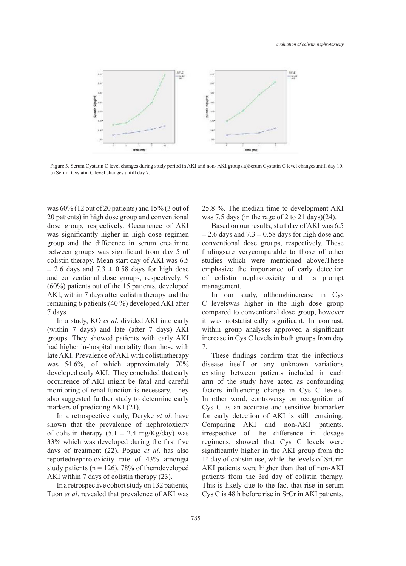

Figure 3. Serum Cystatin C level changes during study period in AKI and non- AKI groups.a)Serum Cystatin C level changesuntill day 10. b) Serum Cystatin C level changes untill day 7.

was 60% (12 out of 20 patients) and 15% (3 out of 20 patients) in high dose group and conventional dose group, respectively. Occurrence of AKI was significantly higher in high dose regimen group and the difference in serum creatinine between groups was significant from day 5 of colistin therapy. Mean start day of AKI was 6.5  $\pm$  2.6 days and 7.3  $\pm$  0.58 days for high dose and conventional dose groups, respectively. 9 (60%) patients out of the 15 patients, developed AKI, within 7 days after colistin therapy and the remaining 6 patients (40 %) developed AKI after 7 days.

In a study, KO *et al*. divided AKI into early (within 7 days) and late (after 7 days) AKI groups. They showed patients with early AKI had higher in-hospital mortality than those with late AKI. Prevalence of AKI with colistintherapy was 54.6%, of which approximately 70% developed early AKI. They concluded that early occurrence of AKI might be fatal and careful monitoring of renal function is necessary. They also suggested further study to determine early markers of predicting AKI (21).

In a retrospective study, Deryke *et al*. have shown that the prevalence of nephrotoxicity of colistin therapy  $(5.1 \pm 2.4 \text{ mg/Kg/day})$  was 33% which was developed during the first five days of treatment (22). Pogue *et al*. has also reportednephrotoxicity rate of 43% amongst study patients ( $n = 126$ ). 78% of themdeveloped AKI within 7 days of colistin therapy (23).

In a retrospective cohort study on 132 patients, Tuon *et al*. revealed that prevalence of AKI was 25.8 %. The median time to development AKI was 7.5 days (in the rage of 2 to 21 days)(24).

Based on our results, start day of AKI was 6.5  $\pm$  2.6 days and 7.3  $\pm$  0.58 days for high dose and conventional dose groups, respectively. These findingsare verycomparable to those of other studies which were mentioned above.These emphasize the importance of early detection of colistin nephrotoxicity and its prompt management.

In our study, althoughincrease in Cys C levelswas higher in the high dose group compared to conventional dose group, however it was notstatistically significant. In contrast, within group analyses approved a significant increase in Cys C levels in both groups from day 7.

These findings confirm that the infectious disease itself or any unknown variations existing between patients included in each arm of the study have acted as confounding factors influencing change in Cys C levels. In other word, controversy on recognition of Cys C as an accurate and sensitive biomarker for early detection of AKI is still remaining. Comparing AKI and non-AKI patients, irrespective of the difference in dosage regimens, showed that Cys C levels were significantly higher in the AKI group from the 1<sup>st</sup> day of colistin use, while the levels of SrCrin AKI patients were higher than that of non-AKI patients from the 3rd day of colistin therapy. This is likely due to the fact that rise in serum Cys C is 48 h before rise in SrCr in AKI patients,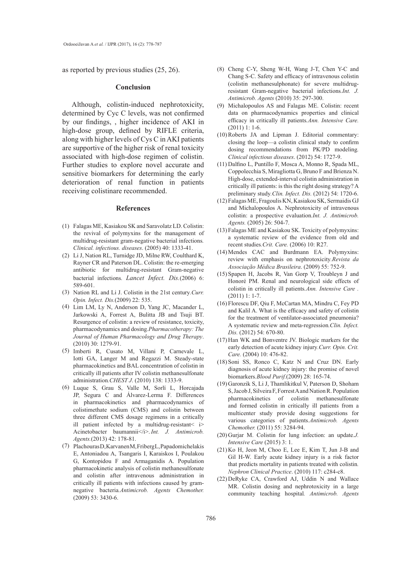as reported by previous studies (25, 26).

#### **Conclusion**

Although, colistin-induced nephrotoxicity, determined by Cyc C levels, was not confirmed by our findings, , higher incidence of AKI in high-dose group, defined by RIFLE criteria, along with higher levels of Cys C in AKI patients are supportive of the higher risk of renal toxicity associated with high-dose regimen of colistin. Further studies to explore novel accurate and sensitive biomarkers for determining the early deterioration of renal function in patients receiving colistinare recommended.

#### **References**

- Falagas ME, Kasiakou SK and Saravolatz LD. Colistin: (1) the revival of polymyxins for the management of multidrug-resistant gram-negative bacterial infections*. Clinical. infectious. diseases*. (2005) 40: 1333-41.
- (2) Li J, Nation RL, Turnidge JD, Milne RW, Coulthard K, Rayner CR and Paterson DL. Colistin: the re-emerging antibiotic for multidrug-resistant Gram-negative bacterial infections*. Lancet Infect. Dis.*(2006) 6: 589-601.
- (3) Nation RL and Li J. Colistin in the 21st century. *Curr. Opin. Infect. Dis.*(2009) 22: 535.
- (4) Lim LM, Ly N, Anderson D, Yang JC, Macander L, Jarkowski A, Forrest A, Bulitta JB and Tsuji BT. Resurgence of colistin: a review of resistance, toxicity, pharmacodynamics and dosing*.Pharmacotherapy: The Journal of Human Pharmacology and Drug Therapy*. (2010) 30: 1279-91.
- Imberti R, Cusato M, Villani P, Carnevale L, (5) Iotti GA, Langer M and Regazzi M. Steady-state pharmacokinetics and BAL concentration of colistin in critically ill patients after IV colistin methanesulfonate administration*.CHEST J*. (2010) 138: 1333-9.
- Luque S, Grau S, Valle M, Sorlí L, Horcajada (6) JP, Segura C and Álvarez-Lerma F. Differences in pharmacokinetics and pharmacodynamics of colistimethate sodium (CMS) and colistin between three different CMS dosage regimens in a critically ill patient infected by a multidrug-resistant $\lt i$ Acinetobacter baumannii</i>>.*Int. J. Antimicrob. Agents.*(2013) 42: 178-81.
- (7) Plachouras D, Karvanen M, Friberg L, Papadomichelakis E, Antoniadou A, Tsangaris I, Karaiskos I, Poulakou G, Kontopidou F and Armaganidis A. Population pharmacokinetic analysis of colistin methanesulfonate and colistin after intravenous administration in critically ill patients with infections caused by gramnegative bacteria*.Antimicrob. Agents Chemother.* (2009) 53: 3430-6.
- (8) Cheng C-Y, Sheng W-H, Wang J-T, Chen Y-C and Chang S-C. Safety and efficacy of intravenous colistin (colistin methanesulphonate) for severe multidrugresistant Gram-negative bacterial infections*.Int. J. Antimicrob. Agents* (2010) 35: 297-300.
- Michalopoulos AS and Falagas ME. Colistin: recent data on pharmacodynamics properties and clinical efficacy in critically ill patients*.Ann. Intensive Care.*  (2011) 1: 1-6. (9)
- $(10)$  Roberts JA and Lipman J. Editorial commentary: closing the loop—a colistin clinical study to confirm dosing recommendations from PK/PD modeling*. Clinical infectious diseases*. (2012) 54: 1727-9.
- (11) Dalfino L, Puntillo F, Mosca A, Monno R, Spada ML, Coppolecchia S, Miragliotta G, Bruno F and Brienza N. High-dose, extended-interval colistin administration in critically ill patients: is this the right dosing strategy? A preliminary study*.Clin. Infect. Dis.* (2012) 54: 1720-6.
- Falagas ME, Fragoulis KN, Kasiakou SK, Sermaidis GJ (12) and Michalopoulos A. Nephrotoxicity of intravenous colistin: a prospective evaluation*.Int. J. Antimicrob. Agents.* (2005) 26: 504-7.
- Falagas ME and Kasiakou SK. Toxicity of polymyxins: (13) a systematic review of the evidence from old and recent studies*.Crit. Care.* (2006) 10: R27.
- (14) Mendes CAC and Burdmann EA. Polymyxins: review with emphasis on nephrotoxicity*.Revista da Associação Médica Brasileira*. (2009) 55: 752-9.
- $(15)$  Spapen H, Jacobs R, Van Gorp V, Troubleyn J and Honoré PM. Renal and neurological side effects of colistin in critically ill patients*.Ann. Intensive Care .*  (2011) 1: 1-7.
- (16) Florescu DF, Qiu F, McCartan MA, Mindru C, Fey PD and Kalil A. What is the efficacy and safety of colistin for the treatment of ventilator-associated pneumonia? A systematic review and meta-regression*.Clin. Infect. Dis.* (2012) 54: 670-80.
- $(17)$  Han WK and Bonventre JV. Biologic markers for the early detection of acute kidney injury*.Curr. Opin. Crit. Care.* (2004) 10: 476-82.
- $(18)$  Soni SS, Ronco C, Katz N and Cruz DN. Early diagnosis of acute kidney injury: the promise of novel biomarkers*.Blood Purif.*(2009) 28: 165-74.
- (19) Garonzik S, Li J, Thamlikitkul V, Paterson D, Shoham S, Jacob J, Silveira F, Forrest A and Nation R. Population pharmacokinetics of colistin methanesulfonate and formed colistin in critically ill patients from a multicenter study provide dosing suggestions for various categories of patients*.Antimicrob. Agents Chemother.* (2011) 55: 3284-94.
- (20) Gurjar M. Colistin for lung infection: an update.*J*. *Intensive Care* (2015) 3: 1.
- $(21)$  Ko H, Jeon M, Choo E, Lee E, Kim T, Jun J-B and Gil H-W. Early acute kidney injury is a risk factor that predicts mortality in patients treated with colistin*. Nephron Clinical Practice*. (2010) 117: c284-c8.
- $(22)$  DeRyke CA, Crawford AJ, Uddin N and Wallace MR. Colistin dosing and nephrotoxicity in a large community teaching hospital*. Antimicrob. Agents*